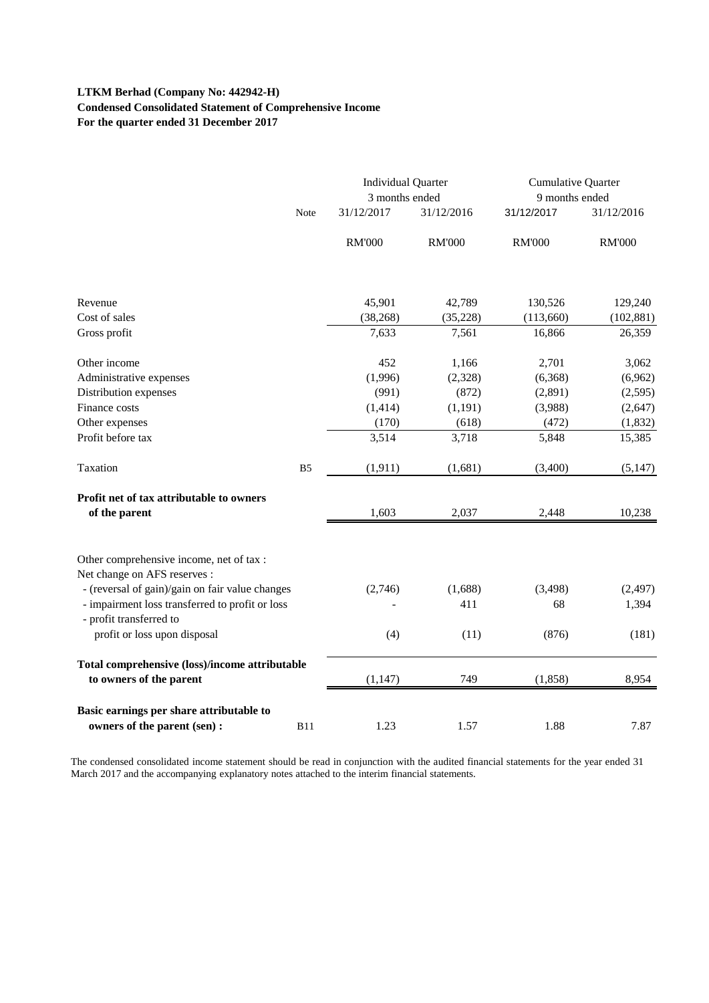# **LTKM Berhad (Company No: 442942-H) Condensed Consolidated Statement of Comprehensive Income For the quarter ended 31 December 2017**

|                                                                            |                | <b>Individual Quarter</b><br>3 months ended |               | <b>Cumulative Quarter</b><br>9 months ended |               |
|----------------------------------------------------------------------------|----------------|---------------------------------------------|---------------|---------------------------------------------|---------------|
|                                                                            | Note           | 31/12/2017                                  | 31/12/2016    | 31/12/2017                                  | 31/12/2016    |
|                                                                            |                | <b>RM'000</b>                               | <b>RM'000</b> | <b>RM'000</b>                               | <b>RM'000</b> |
| Revenue                                                                    |                | 45,901                                      | 42,789        | 130,526                                     | 129,240       |
| Cost of sales                                                              |                | (38, 268)                                   | (35, 228)     | (113,660)                                   | (102, 881)    |
| Gross profit                                                               |                | 7,633                                       | 7,561         | 16,866                                      | 26,359        |
| Other income                                                               |                | 452                                         | 1,166         | 2,701                                       | 3,062         |
| Administrative expenses                                                    |                | (1,996)                                     | (2,328)       | (6,368)                                     | (6,962)       |
| Distribution expenses                                                      |                | (991)                                       | (872)         | (2,891)                                     | (2,595)       |
| Finance costs                                                              |                | (1, 414)                                    | (1, 191)      | (3,988)                                     | (2,647)       |
| Other expenses                                                             |                | (170)                                       | (618)         | (472)                                       | (1,832)       |
| Profit before tax                                                          |                | 3,514                                       | 3,718         | 5,848                                       | 15,385        |
| Taxation                                                                   | B <sub>5</sub> | (1, 911)                                    | (1,681)       | (3,400)                                     | (5, 147)      |
| Profit net of tax attributable to owners<br>of the parent                  |                | 1,603                                       | 2,037         | 2,448                                       | 10,238        |
| Other comprehensive income, net of tax :<br>Net change on AFS reserves :   |                |                                             |               |                                             |               |
| - (reversal of gain)/gain on fair value changes                            |                | (2,746)                                     | (1,688)       | (3, 498)                                    | (2, 497)      |
| - impairment loss transferred to profit or loss<br>- profit transferred to |                |                                             | 411           | 68                                          | 1,394         |
| profit or loss upon disposal                                               |                | (4)                                         | (11)          | (876)                                       | (181)         |
| Total comprehensive (loss)/income attributable<br>to owners of the parent  |                | (1, 147)                                    | 749           | (1, 858)                                    | 8,954         |
| Basic earnings per share attributable to<br>owners of the parent (sen) :   | <b>B11</b>     | 1.23                                        | 1.57          | 1.88                                        | 7.87          |
|                                                                            |                |                                             |               |                                             |               |

The condensed consolidated income statement should be read in conjunction with the audited financial statements for the year ended 31 March 2017 and the accompanying explanatory notes attached to the interim financial statements.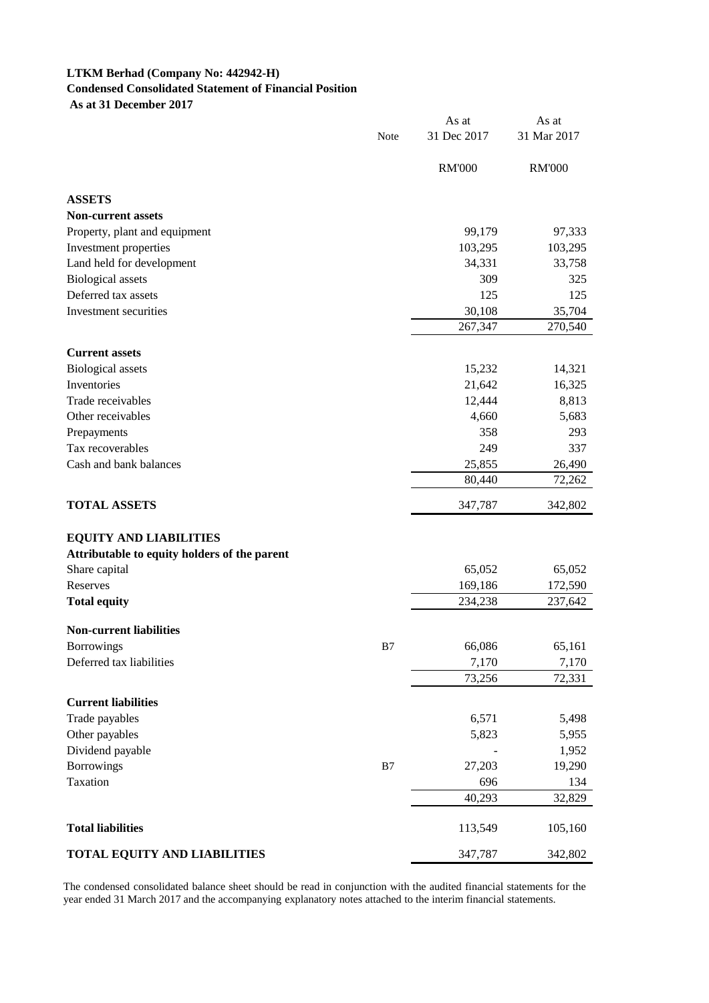# **LTKM Berhad (Company No: 442942-H) Condensed Consolidated Statement of Financial Position As at 31 December 2017**

|                                              | Note | As at<br>31 Dec 2017 | As at<br>31 Mar 2017 |
|----------------------------------------------|------|----------------------|----------------------|
|                                              |      | <b>RM'000</b>        | <b>RM'000</b>        |
|                                              |      |                      |                      |
| <b>ASSETS</b>                                |      |                      |                      |
| <b>Non-current assets</b>                    |      |                      |                      |
| Property, plant and equipment                |      | 99,179               | 97,333               |
| Investment properties                        |      | 103,295              | 103,295              |
| Land held for development                    |      | 34,331               | 33,758               |
| <b>Biological</b> assets                     |      | 309                  | 325                  |
| Deferred tax assets                          |      | 125                  | 125                  |
| Investment securities                        |      | 30,108               | 35,704               |
|                                              |      | 267,347              | 270,540              |
| <b>Current assets</b>                        |      |                      |                      |
| <b>Biological</b> assets                     |      | 15,232               | 14,321               |
| Inventories                                  |      | 21,642               | 16,325               |
| Trade receivables                            |      | 12,444               | 8,813                |
| Other receivables                            |      | 4,660                | 5,683                |
| Prepayments                                  |      | 358                  | 293                  |
| Tax recoverables                             |      | 249                  | 337                  |
| Cash and bank balances                       |      | 25,855               | 26,490               |
|                                              |      | 80,440               | 72,262               |
| <b>TOTAL ASSETS</b>                          |      | 347,787              | 342,802              |
| <b>EQUITY AND LIABILITIES</b>                |      |                      |                      |
| Attributable to equity holders of the parent |      |                      |                      |
| Share capital                                |      | 65,052               | 65,052               |
| Reserves                                     |      | 169,186              | 172,590              |
| <b>Total equity</b>                          |      | 234,238              | 237,642              |
| <b>Non-current liabilities</b>               |      |                      |                      |
| <b>Borrowings</b>                            | B7   | 66,086               | 65,161               |
| Deferred tax liabilities                     |      | 7,170                | 7,170                |
|                                              |      | 73,256               | 72,331               |
| <b>Current liabilities</b>                   |      |                      |                      |
| Trade payables                               |      | 6,571                | 5,498                |
| Other payables                               |      | 5,823                | 5,955                |
| Dividend payable                             |      |                      | 1,952                |
| <b>Borrowings</b>                            | B7   | 27,203               | 19,290               |
| Taxation                                     |      | 696                  | 134                  |
|                                              |      | 40,293               | 32,829               |
|                                              |      |                      |                      |
| <b>Total liabilities</b>                     |      | 113,549              | 105,160              |
| <b>TOTAL EQUITY AND LIABILITIES</b>          |      | 347,787              | 342,802              |

The condensed consolidated balance sheet should be read in conjunction with the audited financial statements for the year ended 31 March 2017 and the accompanying explanatory notes attached to the interim financial statements.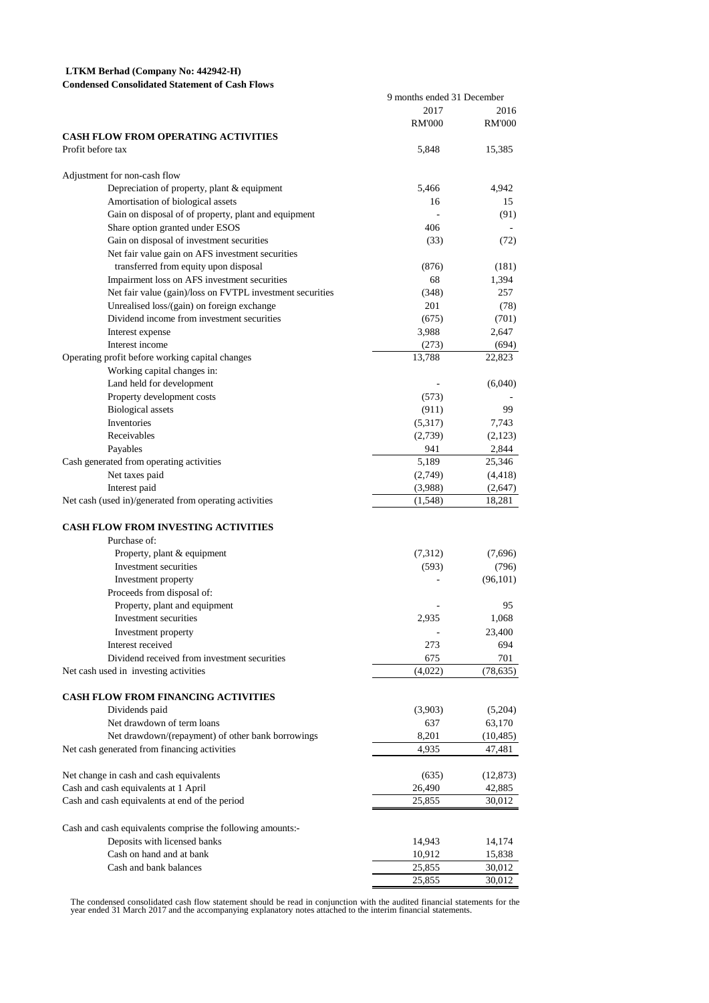# **LTKM Berhad (Company No: 442942-H)**

| <b>Condensed Consolidated Statement of Cash Flows</b> |  |
|-------------------------------------------------------|--|
|-------------------------------------------------------|--|

|                                                            | 9 months ended 31 December |               |
|------------------------------------------------------------|----------------------------|---------------|
|                                                            | 2017                       | 2016          |
|                                                            | <b>RM'000</b>              | <b>RM'000</b> |
| <b>CASH FLOW FROM OPERATING ACTIVITIES</b>                 |                            |               |
| Profit before tax                                          | 5,848                      | 15,385        |
|                                                            |                            |               |
| Adjustment for non-cash flow                               |                            |               |
| Depreciation of property, plant & equipment                | 5,466                      | 4,942         |
| Amortisation of biological assets                          | 16                         | 15            |
| Gain on disposal of of property, plant and equipment       |                            | (91)          |
| Share option granted under ESOS                            | 406                        |               |
| Gain on disposal of investment securities                  | (33)                       | (72)          |
| Net fair value gain on AFS investment securities           |                            |               |
| transferred from equity upon disposal                      | (876)                      | (181)         |
| Impairment loss on AFS investment securities               | 68                         | 1,394         |
| Net fair value (gain)/loss on FVTPL investment securities  | (348)                      | 257           |
| Unrealised loss/(gain) on foreign exchange                 | 201                        | (78)          |
| Dividend income from investment securities                 | (675)                      | (701)         |
| Interest expense                                           | 3,988                      | 2,647         |
| Interest income                                            | (273)                      | (694)         |
| Operating profit before working capital changes            | 13,788                     | 22,823        |
| Working capital changes in:                                |                            |               |
| Land held for development                                  |                            | (6,040)       |
| Property development costs                                 | (573)                      |               |
| <b>Biological</b> assets                                   | (911)                      | 99            |
| Inventories                                                | (5,317)                    | 7,743         |
| Receivables                                                | (2,739)                    | (2,123)       |
| Payables                                                   | 941                        | 2,844         |
| Cash generated from operating activities                   | 5,189                      | 25,346        |
| Net taxes paid                                             | (2,749)                    | (4, 418)      |
| Interest paid                                              | (3,988)                    | (2,647)       |
| Net cash (used in)/generated from operating activities     | (1,548)                    | 18,281        |
|                                                            |                            |               |
| <b>CASH FLOW FROM INVESTING ACTIVITIES</b>                 |                            |               |
| Purchase of:                                               |                            |               |
| Property, plant & equipment                                | (7,312)                    | (7,696)       |
| Investment securities                                      | (593)                      | (796)         |
| Investment property                                        |                            | (96, 101)     |
| Proceeds from disposal of:                                 |                            |               |
| Property, plant and equipment                              |                            | 95            |
| Investment securities                                      | 2,935                      | 1.068         |
| Investment property                                        |                            | 23,400        |
| Interest received                                          | 273                        | 694           |
| Dividend received from investment securities               | 675                        | 701           |
| Net cash used in investing activities                      | (4,022)                    | (78, 635)     |
| CASH FLOW FROM FINANCING ACTIVITIES                        |                            |               |
|                                                            |                            |               |
| Dividends paid<br>Net drawdown of term loans               | (3,903)<br>637             | (5,204)       |
|                                                            |                            | 63,170        |
| Net drawdown/(repayment) of other bank borrowings          | 8,201                      | (10, 485)     |
| Net cash generated from financing activities               | 4,935                      | 47,481        |
| Net change in cash and cash equivalents                    | (635)                      | (12, 873)     |
| Cash and cash equivalents at 1 April                       | 26,490                     | 42,885        |
| Cash and cash equivalents at end of the period             | 25,855                     | 30,012        |
|                                                            |                            |               |
| Cash and cash equivalents comprise the following amounts:- |                            |               |
| Deposits with licensed banks                               | 14,943                     | 14,174        |
| Cash on hand and at bank                                   | 10,912                     | 15,838        |
| Cash and bank balances                                     | 25,855                     | 30,012        |
|                                                            | 25,855                     | 30,012        |

The condensed consolidated cash flow statement should be read in conjunction with the audited financial statements for the<br>year ended 31 March 2017 and the accompanying explanatory notes attached to the interim financial s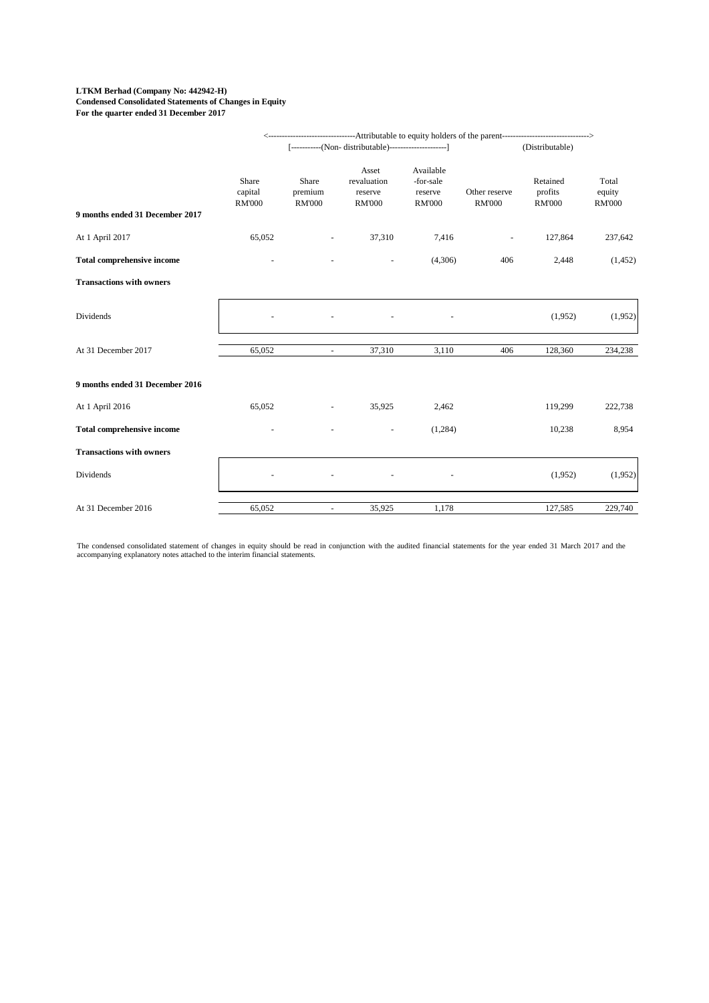#### **LTKM Berhad (Company No: 442942-H) Condensed Consolidated Statements of Changes in Equity For the quarter ended 31 December 2017**

|                                   |                                   |                                   | <------------------------------------Attributable to equity holders of the parent-----------------------------> |                                                    |                                |                                      |                                  |  |
|-----------------------------------|-----------------------------------|-----------------------------------|-----------------------------------------------------------------------------------------------------------------|----------------------------------------------------|--------------------------------|--------------------------------------|----------------------------------|--|
|                                   |                                   |                                   | [-----------(Non- distributable)-----------------------]                                                        |                                                    |                                | (Distributable)                      |                                  |  |
| 9 months ended 31 December 2017   | Share<br>capital<br><b>RM'000</b> | Share<br>premium<br><b>RM'000</b> | Asset<br>revaluation<br>reserve<br><b>RM'000</b>                                                                | Available<br>-for-sale<br>reserve<br><b>RM'000</b> | Other reserve<br><b>RM'000</b> | Retained<br>profits<br><b>RM'000</b> | Total<br>equity<br><b>RM'000</b> |  |
| At 1 April 2017                   | 65,052                            |                                   | 37,310                                                                                                          | 7,416                                              | $\overline{\phantom{a}}$       | 127,864                              | 237,642                          |  |
| <b>Total comprehensive income</b> |                                   |                                   |                                                                                                                 | (4,306)                                            | 406                            | 2,448                                | (1, 452)                         |  |
| <b>Transactions with owners</b>   |                                   |                                   |                                                                                                                 |                                                    |                                |                                      |                                  |  |
| Dividends                         |                                   |                                   |                                                                                                                 |                                                    |                                | (1,952)                              | (1,952)                          |  |
| At 31 December 2017               | 65,052                            |                                   | 37,310                                                                                                          | 3,110                                              | 406                            | 128,360                              | 234,238                          |  |
| 9 months ended 31 December 2016   |                                   |                                   |                                                                                                                 |                                                    |                                |                                      |                                  |  |
| At 1 April 2016                   | 65,052                            |                                   | 35,925                                                                                                          | 2,462                                              |                                | 119,299                              | 222,738                          |  |
| <b>Total comprehensive income</b> |                                   |                                   |                                                                                                                 | (1,284)                                            |                                | 10,238                               | 8,954                            |  |
| <b>Transactions with owners</b>   |                                   |                                   |                                                                                                                 |                                                    |                                |                                      |                                  |  |
| Dividends                         |                                   |                                   |                                                                                                                 |                                                    |                                | (1,952)                              | (1,952)                          |  |
| At 31 December 2016               | 65,052                            | $\blacksquare$                    | 35,925                                                                                                          | 1,178                                              |                                | 127,585                              | 229,740                          |  |

The condensed consolidated statement of changes in equity should be read in conjunction with the audited financial statements for the year ended 31 March 2017 and the<br>accompanying explanatory notes attached to the interim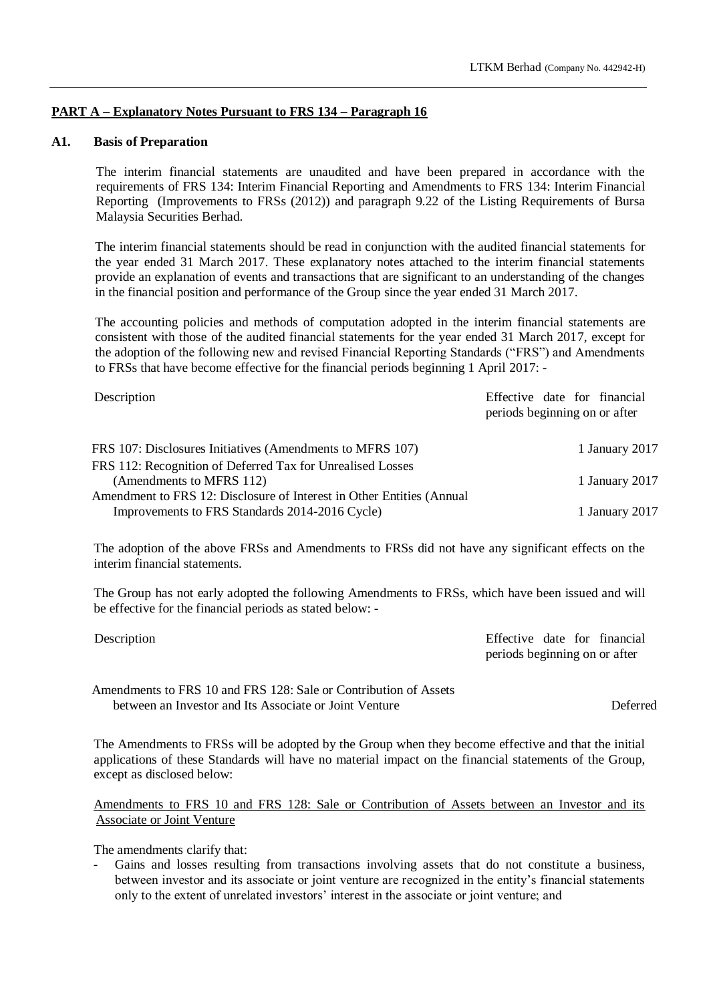# **PART A – Explanatory Notes Pursuant to FRS 134 – Paragraph 16**

# **A1. Basis of Preparation**

The interim financial statements are unaudited and have been prepared in accordance with the requirements of FRS 134: Interim Financial Reporting and Amendments to FRS 134: Interim Financial Reporting (Improvements to FRSs (2012)) and paragraph 9.22 of the Listing Requirements of Bursa Malaysia Securities Berhad.

The interim financial statements should be read in conjunction with the audited financial statements for the year ended 31 March 2017. These explanatory notes attached to the interim financial statements provide an explanation of events and transactions that are significant to an understanding of the changes in the financial position and performance of the Group since the year ended 31 March 2017.

The accounting policies and methods of computation adopted in the interim financial statements are consistent with those of the audited financial statements for the year ended 31 March 2017, except for the adoption of the following new and revised Financial Reporting Standards ("FRS") and Amendments to FRSs that have become effective for the financial periods beginning 1 April 2017: -

| Description                                                           | Effective date for financial<br>periods beginning on or after |
|-----------------------------------------------------------------------|---------------------------------------------------------------|
| FRS 107: Disclosures Initiatives (Amendments to MFRS 107)             | 1 January 2017                                                |
| FRS 112: Recognition of Deferred Tax for Unrealised Losses            |                                                               |
| (Amendments to MFRS 112)                                              | 1 January 2017                                                |
| Amendment to FRS 12: Disclosure of Interest in Other Entities (Annual |                                                               |
| Improvements to FRS Standards 2014-2016 Cycle)                        | 1 January 2017                                                |

The adoption of the above FRSs and Amendments to FRSs did not have any significant effects on the interim financial statements.

The Group has not early adopted the following Amendments to FRSs, which have been issued and will be effective for the financial periods as stated below: -

| Description | Effective date for financial  |
|-------------|-------------------------------|
|             | periods beginning on or after |

Amendments to FRS 10 and FRS 128: Sale or Contribution of Assets between an Investor and Its Associate or Joint Venture Deferred

The Amendments to FRSs will be adopted by the Group when they become effective and that the initial applications of these Standards will have no material impact on the financial statements of the Group, except as disclosed below:

Amendments to FRS 10 and FRS 128: Sale or Contribution of Assets between an Investor and its Associate or Joint Venture

The amendments clarify that:

Gains and losses resulting from transactions involving assets that do not constitute a business, between investor and its associate or joint venture are recognized in the entity's financial statements only to the extent of unrelated investors' interest in the associate or joint venture; and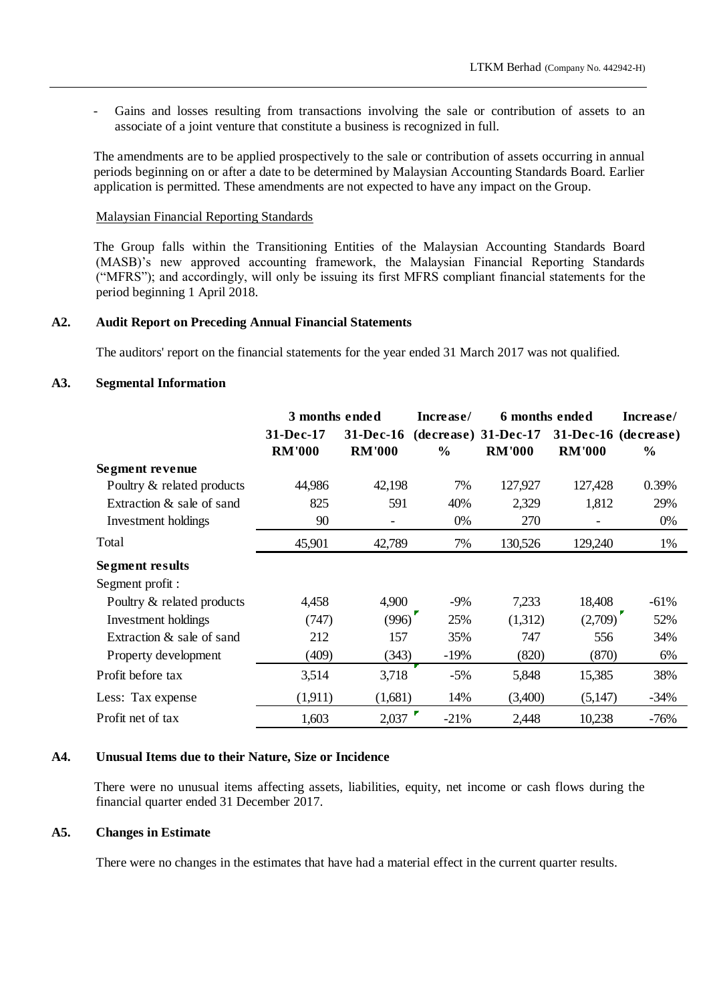Gains and losses resulting from transactions involving the sale or contribution of assets to an associate of a joint venture that constitute a business is recognized in full.

The amendments are to be applied prospectively to the sale or contribution of assets occurring in annual periods beginning on or after a date to be determined by Malaysian Accounting Standards Board. Earlier application is permitted. These amendments are not expected to have any impact on the Group.

### Malaysian Financial Reporting Standards

The Group falls within the Transitioning Entities of the Malaysian Accounting Standards Board (MASB)'s new approved accounting framework, the Malaysian Financial Reporting Standards ("MFRS"); and accordingly, will only be issuing its first MFRS compliant financial statements for the period beginning 1 April 2018.

### **A2. Audit Report on Preceding Annual Financial Statements**

The auditors' report on the financial statements for the year ended 31 March 2017 was not qualified.

# **A3. Segmental Information**

|                            | 3 months ended   |                  | Increase/     | 6 months ended         | Increase/            |               |
|----------------------------|------------------|------------------|---------------|------------------------|----------------------|---------------|
|                            | <b>31-Dec-17</b> | <b>31-Dec-16</b> |               | $(decrease)$ 31-Dec-17 | 31-Dec-16 (decrease) |               |
|                            | <b>RM'000</b>    | <b>RM'000</b>    | $\frac{6}{6}$ | <b>RM'000</b>          | <b>RM'000</b>        | $\frac{6}{6}$ |
| Segment revenue            |                  |                  |               |                        |                      |               |
| Poultry & related products | 44,986           | 42,198           | 7%            | 127,927                | 127,428              | 0.39%         |
| Extraction & sale of sand  | 825              | 591              | 40%           | 2,329                  | 1,812                | 29%           |
| Investment holdings        | 90               | -                | 0%            | 270                    |                      | 0%            |
| Total                      | 45,901           | 42,789           | 7%            | 130,526                | 129,240              | 1%            |
| <b>Segment results</b>     |                  |                  |               |                        |                      |               |
| Segment profit :           |                  |                  |               |                        |                      |               |
| Poultry & related products | 4,458            | 4,900            | $-9%$         | 7,233                  | 18,408               | $-61%$        |
| Investment holdings        | (747)            | (996)            | 25%           | (1,312)                | (2,709)              | 52%           |
| Extraction & sale of sand  | 212              | 157              | 35%           | 747                    | 556                  | 34%           |
| Property development       | (409)            | (343)            | $-19%$        | (820)                  | (870)                | 6%            |
| Profit before tax          | 3,514            | 3,718            | $-5%$         | 5,848                  | 15,385               | 38%           |
| Less: Tax expense          | (1,911)          | (1,681)          | 14%           | (3,400)                | (5,147)              | $-34%$        |
| Profit net of tax          | 1,603            | 2,037            | $-21%$        | 2,448                  | 10,238               | $-76%$        |

# **A4. Unusual Items due to their Nature, Size or Incidence**

There were no unusual items affecting assets, liabilities, equity, net income or cash flows during the financial quarter ended 31 December 2017.

#### **A5. Changes in Estimate**

There were no changes in the estimates that have had a material effect in the current quarter results.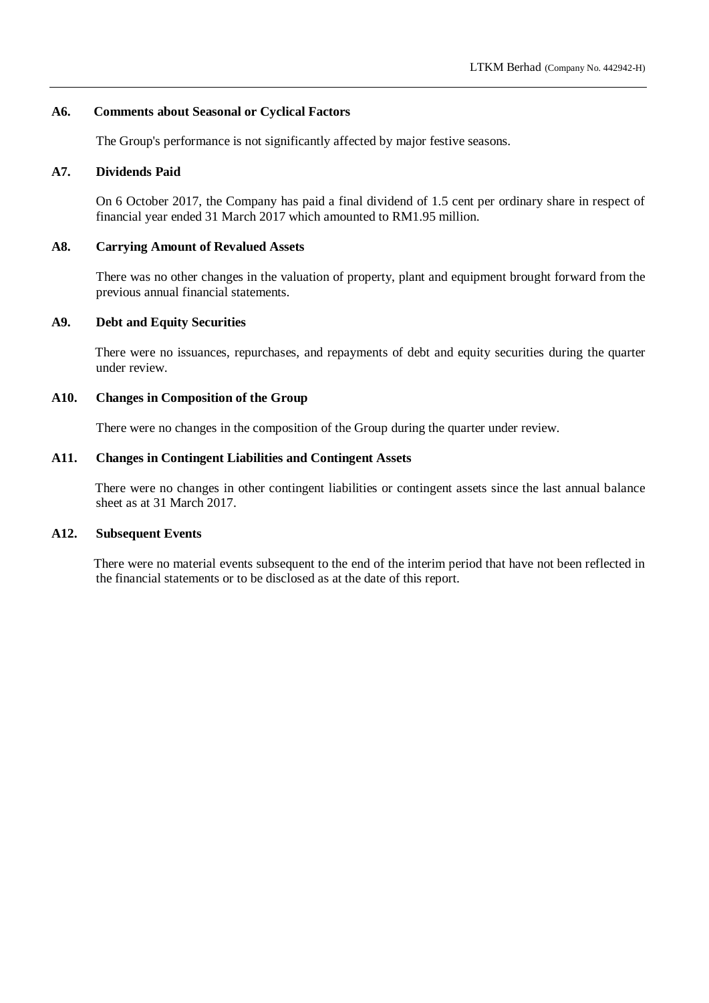# **A6. Comments about Seasonal or Cyclical Factors**

The Group's performance is not significantly affected by major festive seasons.

### **A7. Dividends Paid**

On 6 October 2017, the Company has paid a final dividend of 1.5 cent per ordinary share in respect of financial year ended 31 March 2017 which amounted to RM1.95 million.

### **A8. Carrying Amount of Revalued Assets**

There was no other changes in the valuation of property, plant and equipment brought forward from the previous annual financial statements.

# **A9. Debt and Equity Securities**

There were no issuances, repurchases, and repayments of debt and equity securities during the quarter under review.

# **A10. Changes in Composition of the Group**

There were no changes in the composition of the Group during the quarter under review.

### **A11. Changes in Contingent Liabilities and Contingent Assets**

There were no changes in other contingent liabilities or contingent assets since the last annual balance sheet as at 31 March 2017.

# **A12. Subsequent Events**

There were no material events subsequent to the end of the interim period that have not been reflected in the financial statements or to be disclosed as at the date of this report.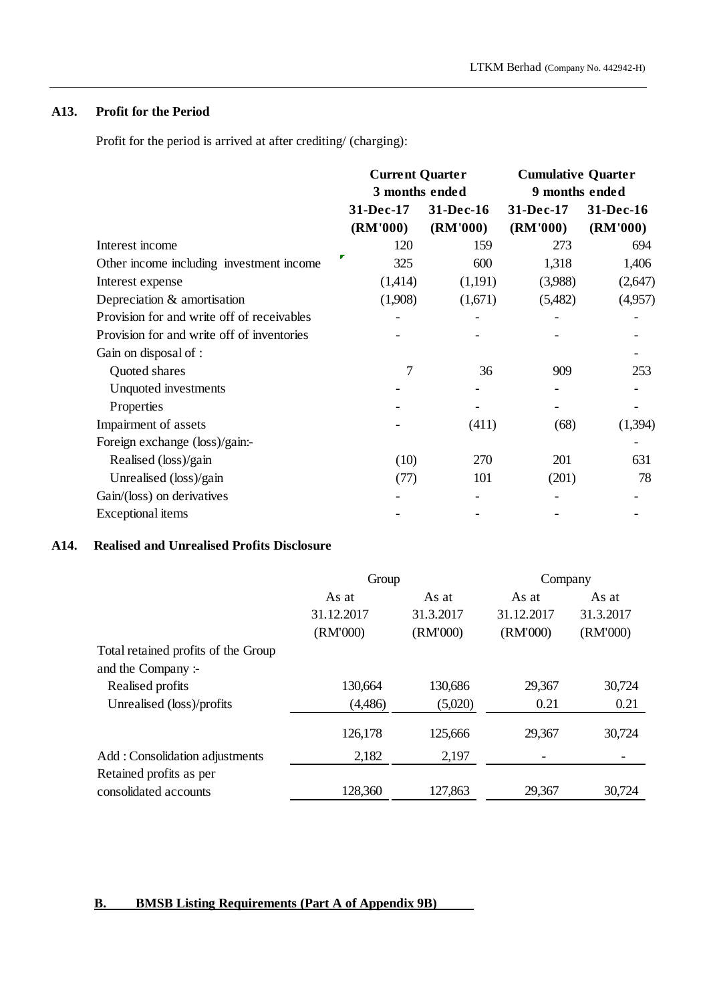# **A13. Profit for the Period**

Profit for the period is arrived at after crediting/ (charging):

|                                            | <b>Current Quarter</b><br>3 months ended |           | <b>Cumulative Quarter</b><br>9 months ended |           |  |
|--------------------------------------------|------------------------------------------|-----------|---------------------------------------------|-----------|--|
|                                            |                                          |           |                                             |           |  |
|                                            | 31-Dec-17                                | 31-Dec-16 | 31-Dec-17                                   | 31-Dec-16 |  |
|                                            | (RM'000)                                 | (RM'000)  | (RM'000)                                    | (RM'000)  |  |
| Interest income                            | 120                                      | 159       | 273                                         | 694       |  |
| Other income including investment income   | 325                                      | 600       | 1,318                                       | 1,406     |  |
| Interest expense                           | (1,414)                                  | (1,191)   | (3,988)                                     | (2,647)   |  |
| Depreciation & amortisation                | (1,908)                                  | (1,671)   | (5,482)                                     | (4,957)   |  |
| Provision for and write off of receivables |                                          |           |                                             |           |  |
| Provision for and write off of inventories |                                          |           |                                             |           |  |
| Gain on disposal of :                      |                                          |           |                                             |           |  |
| Quoted shares                              | 7                                        | 36        | 909                                         | 253       |  |
| Unquoted investments                       |                                          |           |                                             |           |  |
| Properties                                 |                                          |           |                                             |           |  |
| Impairment of assets                       |                                          | (411)     | (68)                                        | (1,394)   |  |
| Foreign exchange (loss)/gain:-             |                                          |           |                                             |           |  |
| Realised (loss)/gain                       | (10)                                     | 270       | 201                                         | 631       |  |
| Unrealised (loss)/gain                     | (77)                                     | 101       | (201)                                       | 78        |  |
| Gain/(loss) on derivatives                 |                                          |           |                                             |           |  |
| Exceptional items                          |                                          |           |                                             |           |  |
|                                            |                                          |           |                                             |           |  |

# **A14. Realised and Unrealised Profits Disclosure**

|                                     | Group      |           | Company    |           |  |
|-------------------------------------|------------|-----------|------------|-----------|--|
|                                     | As at      | As at     | As at      | As at     |  |
|                                     | 31.12.2017 | 31.3.2017 | 31.12.2017 | 31.3.2017 |  |
|                                     | (RM'000)   | (RM'000)  | (RM'000)   | (RM'000)  |  |
| Total retained profits of the Group |            |           |            |           |  |
| and the Company :-                  |            |           |            |           |  |
| Realised profits                    | 130,664    | 130,686   | 29,367     | 30,724    |  |
| Unrealised (loss)/profits           | (4,486)    | (5,020)   | 0.21       | 0.21      |  |
|                                     | 126,178    | 125,666   | 29,367     | 30,724    |  |
| Add: Consolidation adjustments      | 2,182      | 2,197     |            |           |  |
| Retained profits as per             |            |           |            |           |  |
| consolidated accounts               | 128,360    | 127,863   | 29,367     | 30,724    |  |

# **B. BMSB Listing Requirements (Part A of Appendix 9B)**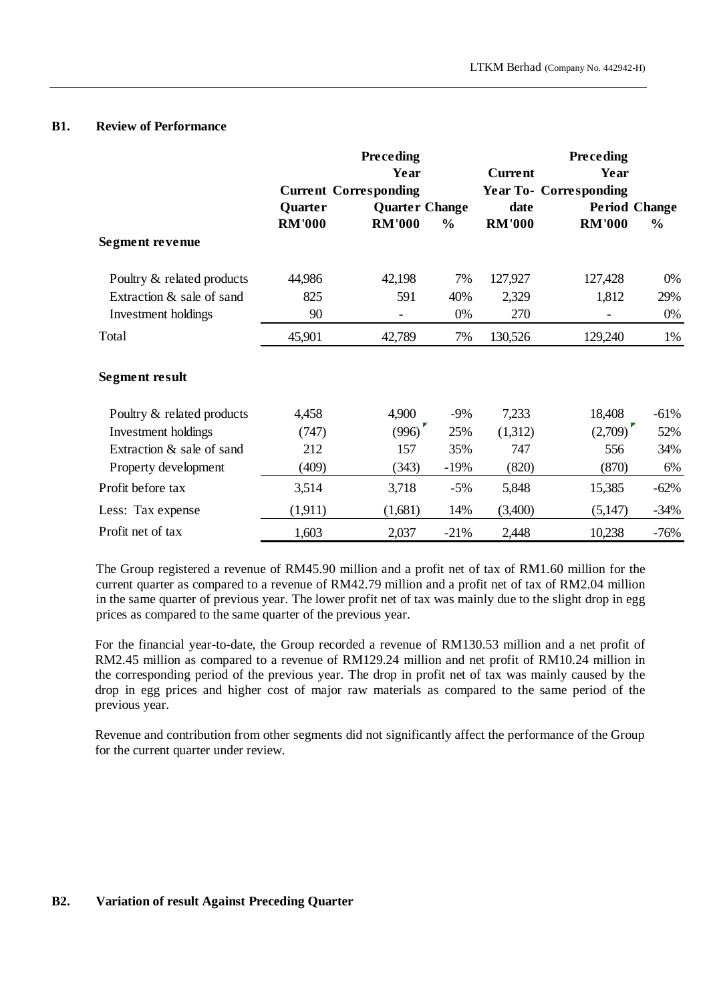### **B1. Review of Performance**

|                            |               | <b>Preceding</b>             |               |               | <b>Preceding</b>              |                      |
|----------------------------|---------------|------------------------------|---------------|---------------|-------------------------------|----------------------|
|                            |               | Year                         |               | Current       | Year                          |                      |
|                            |               | <b>Current Corresponding</b> |               |               | <b>Year To- Corresponding</b> |                      |
|                            | Quarter       | <b>Quarter Change</b>        |               | date          |                               | <b>Period Change</b> |
|                            | <b>RM'000</b> | <b>RM'000</b>                | $\frac{0}{0}$ | <b>RM'000</b> | <b>RM'000</b>                 | $\frac{6}{6}$        |
| Segment revenue            |               |                              |               |               |                               |                      |
| Poultry & related products | 44,986        | 42,198                       | 7%            | 127,927       | 127,428                       | 0%                   |
| Extraction & sale of sand  | 825           | 591                          | 40%           | 2,329         | 1,812                         | 29%                  |
| Investment holdings        | 90            |                              | 0%            | 270           |                               | 0%                   |
| Total                      | 45,901        | 42,789                       | 7%            | 130,526       | 129,240                       | 1%                   |
| <b>Segment result</b>      |               |                              |               |               |                               |                      |
| Poultry & related products | 4,458         | 4,900                        | $-9\%$        | 7,233         | 18,408                        | $-61%$               |
| Investment holdings        | (747)         | (996)                        | 25%           | (1,312)       | (2,709)                       | 52%                  |
| Extraction & sale of sand  | 212           | 157                          | 35%           | 747           | 556                           | 34%                  |
| Property development       | (409)         | (343)                        | $-19%$        | (820)         | (870)                         | 6%                   |
| Profit before tax          | 3,514         | 3,718                        | $-5%$         | 5,848         | 15,385                        | $-62%$               |
| Less: Tax expense          | (1,911)       | (1,681)                      | 14%           | (3,400)       | (5,147)                       | $-34%$               |
| Profit net of tax          | 1,603         | 2,037                        | $-21%$        | 2,448         | 10,238                        | $-76%$               |

The Group registered a revenue of RM45.90 million and a profit net of tax of RM1.60 million for the current quarter as compared to a revenue of RM42.79 million and a profit net of tax of RM2.04 million in the same quarter of previous year. The lower profit net of tax was mainly due to the slight drop in egg prices as compared to the same quarter of the previous year.

For the financial year-to-date, the Group recorded a revenue of RM130.53 million and a net profit of RM2.45 million as compared to a revenue of RM129.24 million and net profit of RM10.24 million in the corresponding period of the previous year. The drop in profit net of tax was mainly caused by the drop in egg prices and higher cost of major raw materials as compared to the same period of the previous year.

Revenue and contribution from other segments did not significantly affect the performance of the Group for the current quarter under review.

# **B2. Variation of result Against Preceding Quarter**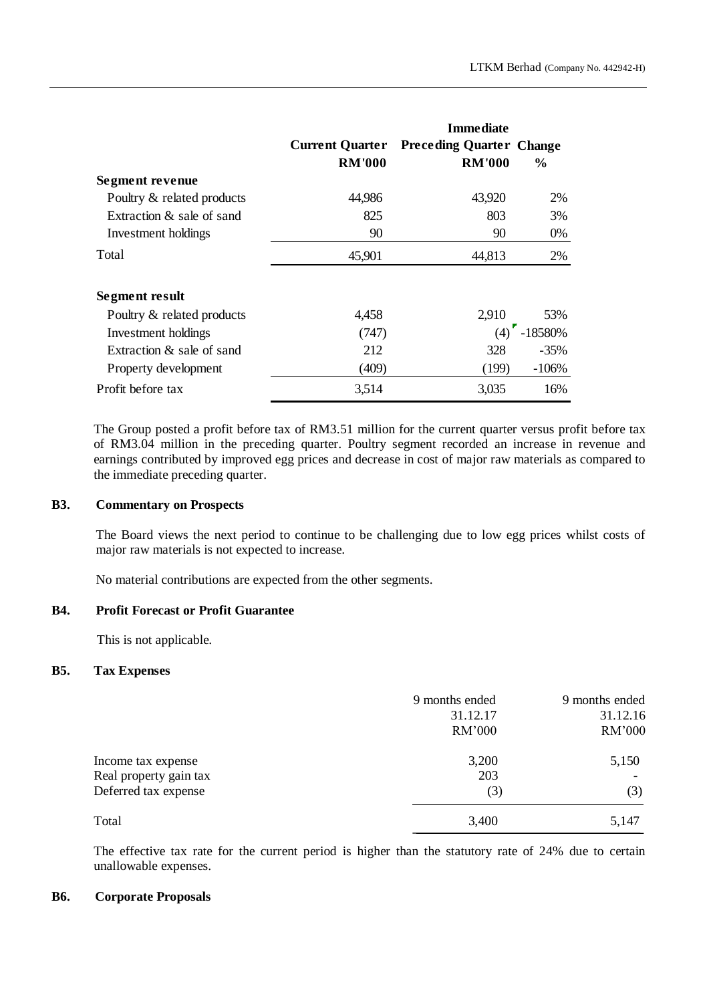|                              | <b>Current Quarter</b><br><b>RM'000</b> | <b>Immediate</b><br><b>Preceding Quarter Change</b><br><b>RM'000</b> | $\frac{6}{6}$ |
|------------------------------|-----------------------------------------|----------------------------------------------------------------------|---------------|
| Segment revenue              |                                         |                                                                      |               |
| Poultry & related products   | 44,986                                  | 43,920                                                               | <b>2%</b>     |
| Extraction & sale of sand    | 825                                     | 803                                                                  | 3%            |
| Investment holdings          | 90                                      | 90                                                                   | 0%            |
| Total                        | 45,901                                  | 44,813                                                               | 2%            |
| Segment result               |                                         |                                                                      |               |
| Poultry & related products   | 4,458                                   | 2,910                                                                | 53%           |
| Investment holdings          | (747)                                   | (4)                                                                  | -18580%       |
| Extraction $\&$ sale of sand | 212                                     | 328                                                                  | $-35%$        |
| Property development         | (409)                                   | (199)                                                                | $-106%$       |
| Profit before tax            | 3,514                                   | 3,035                                                                | 16%           |

The Group posted a profit before tax of RM3.51 million for the current quarter versus profit before tax of RM3.04 million in the preceding quarter. Poultry segment recorded an increase in revenue and earnings contributed by improved egg prices and decrease in cost of major raw materials as compared to the immediate preceding quarter.

### **B3. Commentary on Prospects**

The Board views the next period to continue to be challenging due to low egg prices whilst costs of major raw materials is not expected to increase.

No material contributions are expected from the other segments.

# **B4. Profit Forecast or Profit Guarantee**

This is not applicable.

# **B5. Tax Expenses**

|                        | 9 months ended<br>31.12.17<br>RM'000 | 9 months ended<br>31.12.16<br><b>RM'000</b> |
|------------------------|--------------------------------------|---------------------------------------------|
| Income tax expense     | 3,200                                | 5,150                                       |
| Real property gain tax | 203                                  |                                             |
| Deferred tax expense   | (3)                                  | (3)                                         |
| Total                  | 3,400                                | 5,147                                       |

The effective tax rate for the current period is higher than the statutory rate of 24% due to certain unallowable expenses.

### **B6. Corporate Proposals**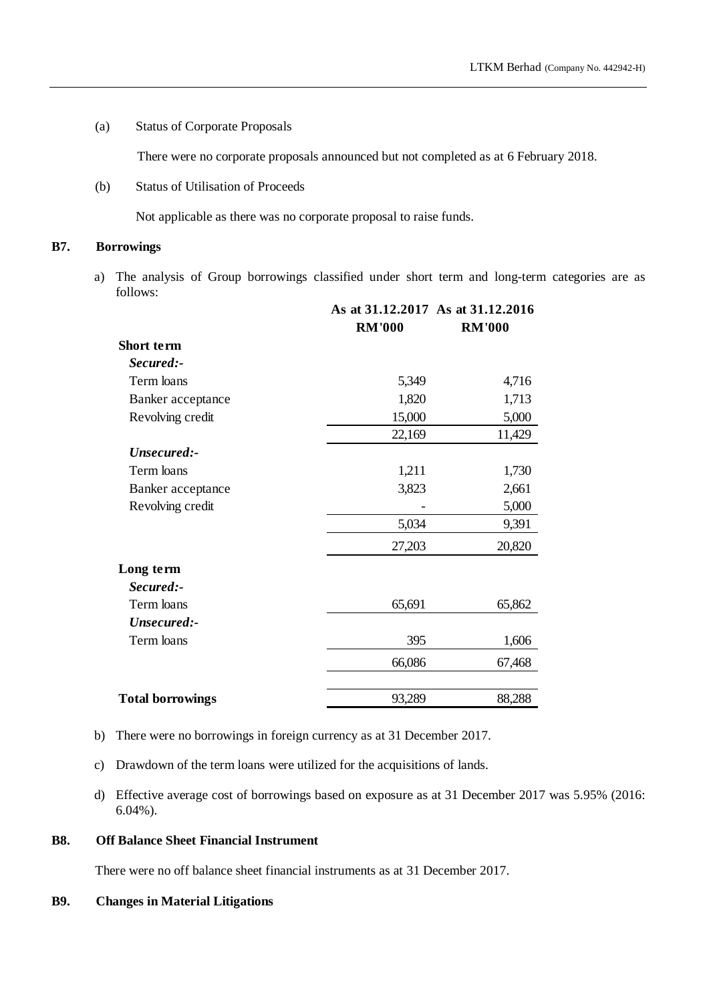(a) Status of Corporate Proposals

There were no corporate proposals announced but not completed as at 6 February 2018.

(b) Status of Utilisation of Proceeds

Not applicable as there was no corporate proposal to raise funds.

# **B7. Borrowings**

a) The analysis of Group borrowings classified under short term and long-term categories are as follows:

|                         | <b>RM'000</b> | As at 31.12.2017 As at 31.12.2016<br><b>RM'000</b> |
|-------------------------|---------------|----------------------------------------------------|
| Short term              |               |                                                    |
| Secured:-               |               |                                                    |
| Term loans              | 5,349         | 4,716                                              |
| Banker acceptance       | 1,820         | 1,713                                              |
| Revolving credit        | 15,000        | 5,000                                              |
|                         | 22,169        | 11,429                                             |
| Unsecured:-             |               |                                                    |
| Term loans              | 1,211         | 1,730                                              |
| Banker acceptance       | 3,823         | 2,661                                              |
| Revolving credit        |               | 5,000                                              |
|                         | 5,034         | 9,391                                              |
|                         | 27,203        | 20,820                                             |
| Long term               |               |                                                    |
| Secured:-               |               |                                                    |
| Term loans              | 65,691        | 65,862                                             |
| Unsecured:-             |               |                                                    |
| Term loans              | 395           | 1,606                                              |
|                         | 66,086        | 67,468                                             |
| <b>Total borrowings</b> | 93,289        | 88,288                                             |

- b) There were no borrowings in foreign currency as at 31 December 2017.
- c) Drawdown of the term loans were utilized for the acquisitions of lands.
- d) Effective average cost of borrowings based on exposure as at 31 December 2017 was 5.95% (2016: 6.04%).

# **B8. Off Balance Sheet Financial Instrument**

There were no off balance sheet financial instruments as at 31 December 2017.

# **B9. Changes in Material Litigations**